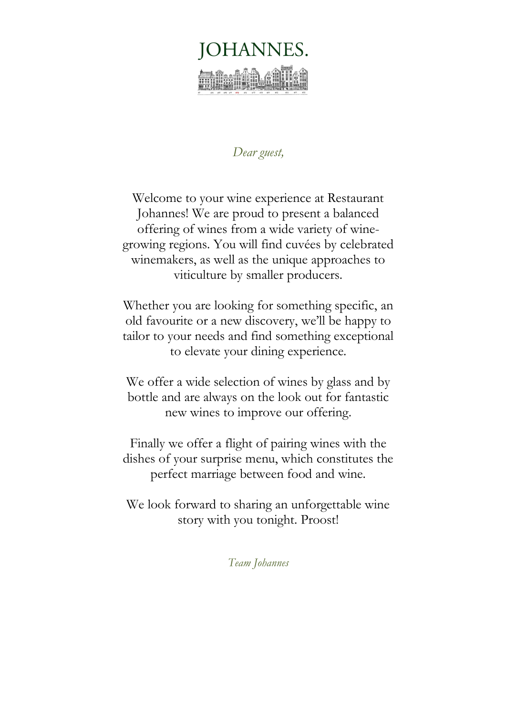

# *Dear guest,*

Welcome to your wine experience at Restaurant Johannes! We are proud to present a balanced offering of wines from a wide variety of winegrowing regions. You will find cuvées by celebrated winemakers, as well as the unique approaches to viticulture by smaller producers.

Whether you are looking for something specific, an old favourite or a new discovery, we'll be happy to tailor to your needs and find something exceptional to elevate your dining experience.

We offer a wide selection of wines by glass and by bottle and are always on the look out for fantastic new wines to improve our offering.

Finally we offer a flight of pairing wines with the dishes of your surprise menu, which constitutes the perfect marriage between food and wine.

We look forward to sharing an unforgettable wine story with you tonight. Proost!

*Team Johannes*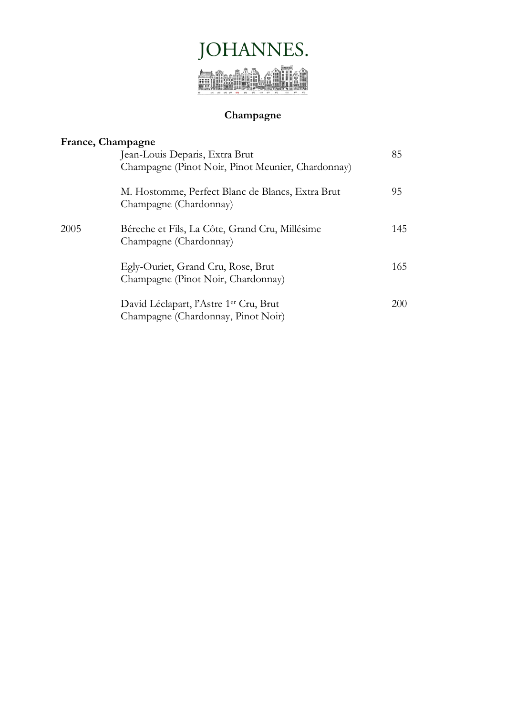

# **Champagne**

|      | France, Champagne                                                                        |     |
|------|------------------------------------------------------------------------------------------|-----|
|      | Jean-Louis Deparis, Extra Brut                                                           | 85  |
|      | Champagne (Pinot Noir, Pinot Meunier, Chardonnay)                                        |     |
|      | M. Hostomme, Perfect Blanc de Blancs, Extra Brut<br>Champagne (Chardonnay)               | 95  |
| 2005 | Béreche et Fils, La Côte, Grand Cru, Millésime<br>Champagne (Chardonnay)                 | 145 |
|      | Egly-Ouriet, Grand Cru, Rose, Brut<br>Champagne (Pinot Noir, Chardonnay)                 | 165 |
|      | David Léclapart, l'Astre 1 <sup>er</sup> Cru, Brut<br>Champagne (Chardonnay, Pinot Noir) | 200 |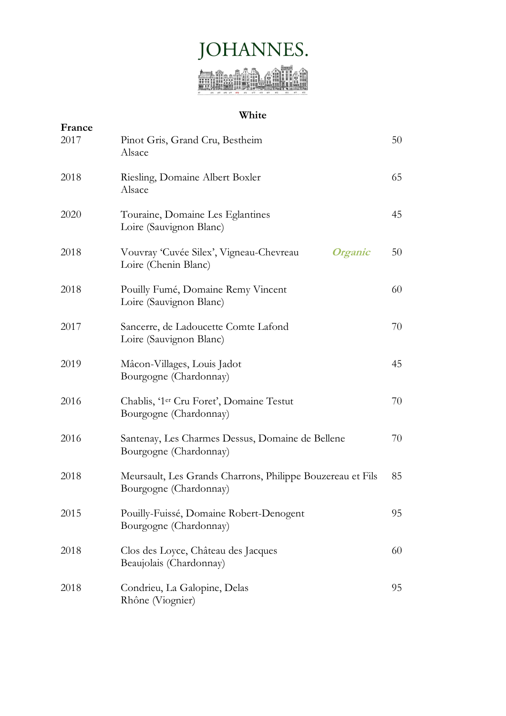

### **White**

| France<br>2017 | Pinot Gris, Grand Cru, Bestheim<br>Alsace                                                | 50 |
|----------------|------------------------------------------------------------------------------------------|----|
| 2018           | Riesling, Domaine Albert Boxler<br>Alsace                                                | 65 |
| 2020           | Touraine, Domaine Les Eglantines<br>Loire (Sauvignon Blanc)                              | 45 |
| 2018           | Vouvray 'Cuvée Silex', Vigneau-Chevreau<br><i><b>Organic</b></i><br>Loire (Chenin Blanc) | 50 |
| 2018           | Pouilly Fumé, Domaine Remy Vincent<br>Loire (Sauvignon Blanc)                            | 60 |
| 2017           | Sancerre, de Ladoucette Comte Lafond<br>Loire (Sauvignon Blanc)                          | 70 |
| 2019           | Mâcon-Villages, Louis Jadot<br>Bourgogne (Chardonnay)                                    | 45 |
| 2016           | Chablis, '1 <sup>er</sup> Cru Foret', Domaine Testut<br>Bourgogne (Chardonnay)           | 70 |
| 2016           | Santenay, Les Charmes Dessus, Domaine de Bellene<br>Bourgogne (Chardonnay)               | 70 |
| 2018           | Meursault, Les Grands Charrons, Philippe Bouzereau et Fils<br>Bourgogne (Chardonnay)     | 85 |
| 2015           | Pouilly-Fuissé, Domaine Robert-Denogent<br>Bourgogne (Chardonnay)                        | 95 |
| 2018           | Clos des Loyce, Château des Jacques<br>Beaujolais (Chardonnay)                           | 60 |
| 2018           | Condrieu, La Galopine, Delas<br>Rhône (Viognier)                                         | 95 |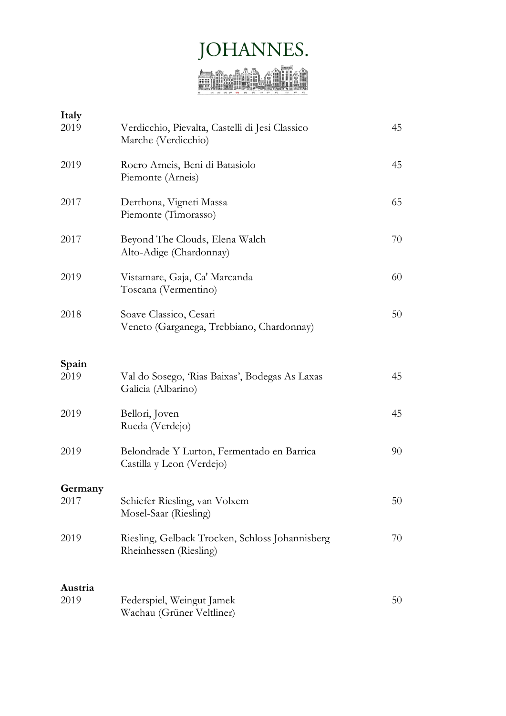# JOHANNES.

| Italy<br>2019 | Verdicchio, Pievalta, Castelli di Jesi Classico<br>Marche (Verdicchio)    | 45 |
|---------------|---------------------------------------------------------------------------|----|
| 2019          | Roero Arneis, Beni di Batasiolo<br>Piemonte (Arneis)                      | 45 |
| 2017          | Derthona, Vigneti Massa<br>Piemonte (Timorasso)                           | 65 |
| 2017          | Beyond The Clouds, Elena Walch<br>Alto-Adige (Chardonnay)                 | 70 |
| 2019          | Vistamare, Gaja, Ca' Marcanda<br>Toscana (Vermentino)                     | 60 |
| 2018          | Soave Classico, Cesari<br>Veneto (Garganega, Trebbiano, Chardonnay)       | 50 |
| Spain<br>2019 | Val do Sosego, 'Rias Baixas', Bodegas As Laxas<br>Galicia (Albarino)      | 45 |
| 2019          | Bellori, Joven<br>Rueda (Verdejo)                                         | 45 |
| 2019          | Belondrade Y Lurton, Fermentado en Barrica<br>Castilla y Leon (Verdejo)   | 90 |
| Germany       |                                                                           |    |
| 2017          | Schiefer Riesling, van Volxem<br>Mosel-Saar (Riesling)                    | 50 |
| 2019          | Riesling, Gelback Trocken, Schloss Johannisberg<br>Rheinhessen (Riesling) | 70 |
| Austria       |                                                                           |    |
| 2019          | Federspiel, Weingut Jamek<br>Wachau (Grüner Veltliner)                    | 50 |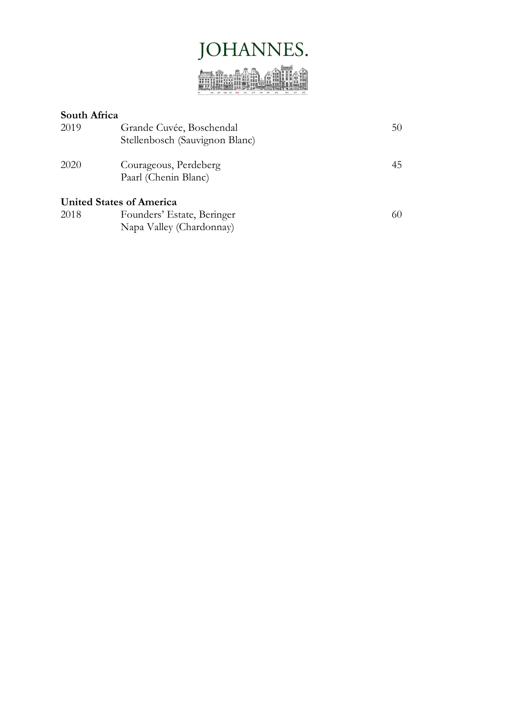

| South Africa |                                |    |
|--------------|--------------------------------|----|
| 2019         | Grande Cuvée, Boschendal       | 50 |
|              | Stellenbosch (Sauvignon Blanc) |    |
| 2020         | Courageous, Perdeberg          | 45 |
|              | Paarl (Chenin Blanc)           |    |
|              | United States of America       |    |
| 2018         | Founders' Estate, Beringer     | 60 |
|              | Napa Valley (Chardonnay)       |    |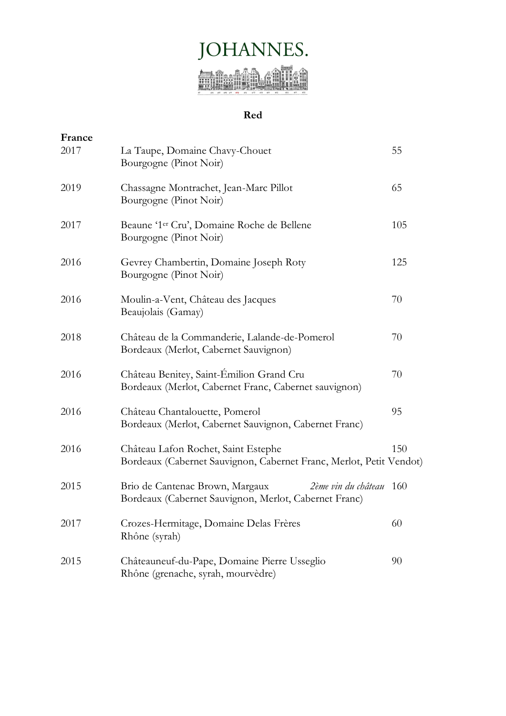

## **Red**

| France |                                                                                                                     |     |
|--------|---------------------------------------------------------------------------------------------------------------------|-----|
| 2017   | La Taupe, Domaine Chavy-Chouet<br>Bourgogne (Pinot Noir)                                                            | 55  |
| 2019   | Chassagne Montrachet, Jean-Marc Pillot<br>Bourgogne (Pinot Noir)                                                    | 65  |
| 2017   | Beaune '1 <sup>er</sup> Cru', Domaine Roche de Bellene<br>Bourgogne (Pinot Noir)                                    | 105 |
| 2016   | Gevrey Chambertin, Domaine Joseph Roty<br>Bourgogne (Pinot Noir)                                                    | 125 |
| 2016   | Moulin-a-Vent, Château des Jacques<br>Beaujolais (Gamay)                                                            | 70  |
| 2018   | Château de la Commanderie, Lalande-de-Pomerol<br>Bordeaux (Merlot, Cabernet Sauvignon)                              | 70  |
| 2016   | Château Benitey, Saint-Émilion Grand Cru<br>Bordeaux (Merlot, Cabernet Franc, Cabernet sauvignon)                   | 70  |
| 2016   | Château Chantalouette, Pomerol<br>Bordeaux (Merlot, Cabernet Sauvignon, Cabernet Franc)                             | 95  |
| 2016   | Château Lafon Rochet, Saint Estephe<br>Bordeaux (Cabernet Sauvignon, Cabernet Franc, Merlot, Petit Vendot)          | 150 |
| 2015   | Brio de Cantenac Brown, Margaux<br>2ème vin du château 160<br>Bordeaux (Cabernet Sauvignon, Merlot, Cabernet Franc) |     |
| 2017   | Crozes-Hermitage, Domaine Delas Frères<br>Rhône (syrah)                                                             | 60  |
| 2015   | Châteauneuf-du-Pape, Domaine Pierre Usseglio<br>Rhône (grenache, syrah, mourvèdre)                                  | 90  |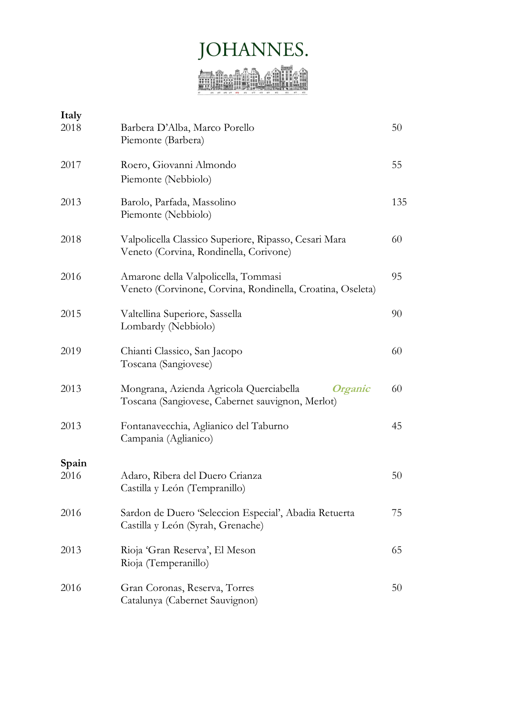# JOHANNES.

| Barbera D'Alba, Marco Porello<br>Piemonte (Barbera)                                                    | 50  |
|--------------------------------------------------------------------------------------------------------|-----|
| Roero, Giovanni Almondo<br>Piemonte (Nebbiolo)                                                         | 55  |
| Barolo, Parfada, Massolino<br>Piemonte (Nebbiolo)                                                      | 135 |
| Valpolicella Classico Superiore, Ripasso, Cesari Mara<br>Veneto (Corvina, Rondinella, Corivone)        | 60  |
| Amarone della Valpolicella, Tommasi<br>Veneto (Corvinone, Corvina, Rondinella, Croatina, Oseleta)      | 95  |
| Valtellina Superiore, Sassella<br>Lombardy (Nebbiolo)                                                  | 90  |
| Chianti Classico, San Jacopo<br>Toscana (Sangiovese)                                                   | 60  |
| Mongrana, Azienda Agricola Querciabella<br>Organic<br>Toscana (Sangiovese, Cabernet sauvignon, Merlot) | 60  |
| Fontanavecchia, Aglianico del Taburno<br>Campania (Aglianico)                                          | 45  |
|                                                                                                        |     |
| Adaro, Ribera del Duero Crianza<br>Castilla y León (Tempranillo)                                       | 50  |
| Sardon de Duero 'Seleccion Especial', Abadia Retuerta<br>Castilla y León (Syrah, Grenache)             | 75  |
| Rioja 'Gran Reserva', El Meson<br>Rioja (Temperanillo)                                                 | 65  |
| Gran Coronas, Reserva, Torres<br>Catalunya (Cabernet Sauvignon)                                        | 50  |
|                                                                                                        |     |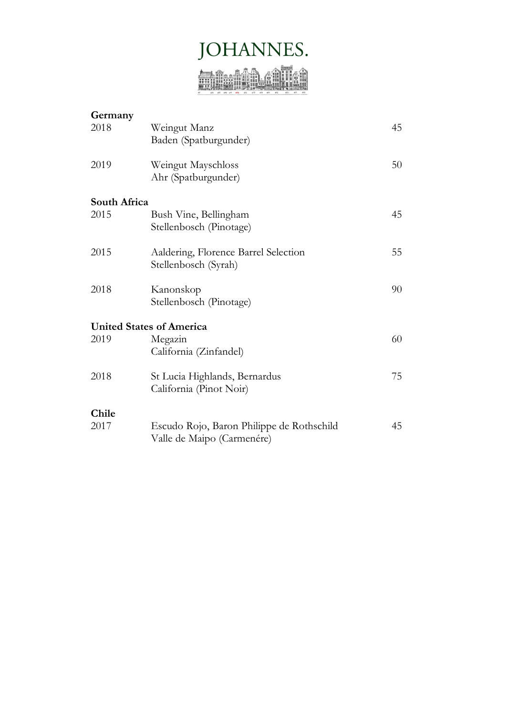

| Germany      |                                           |    |
|--------------|-------------------------------------------|----|
| 2018         | Weingut Manz<br>Baden (Spatburgunder)     | 45 |
|              |                                           |    |
| 2019         | Weingut Mayschloss                        | 50 |
|              | Ahr (Spatburgunder)                       |    |
| South Africa |                                           |    |
| 2015         | Bush Vine, Bellingham                     | 45 |
|              | Stellenbosch (Pinotage)                   |    |
| 2015         | Aaldering, Florence Barrel Selection      | 55 |
|              | Stellenbosch (Syrah)                      |    |
| 2018         | Kanonskop                                 | 90 |
|              | Stellenbosch (Pinotage)                   |    |
|              | <b>United States of America</b>           |    |
| 2019         | Megazin                                   | 60 |
|              | California (Zinfandel)                    |    |
| 2018         | St Lucia Highlands, Bernardus             | 75 |
|              | California (Pinot Noir)                   |    |
| Chile        |                                           |    |
| 2017         | Escudo Rojo, Baron Philippe de Rothschild | 45 |
|              | Valle de Maipo (Carmenére)                |    |